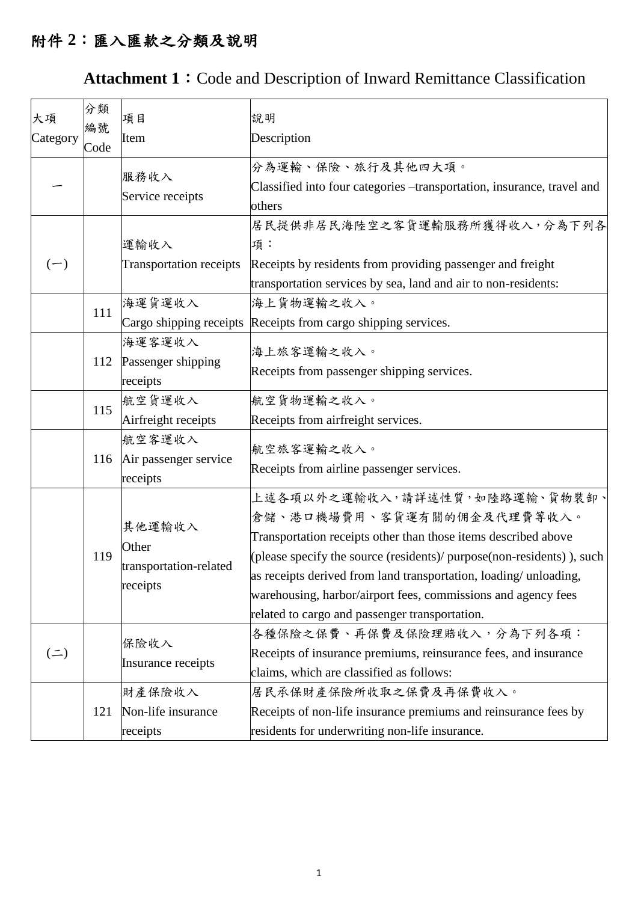## 附件 **2**:匯入匯款之分類及說明

## Attachment 1: Code and Description of Inward Remittance Classification

| 大項<br>Category   | 分類<br>編號 | 項目<br>Item                                            | 說明<br>Description                                                                                                                                                                                                                                                                                                                                                                              |
|------------------|----------|-------------------------------------------------------|------------------------------------------------------------------------------------------------------------------------------------------------------------------------------------------------------------------------------------------------------------------------------------------------------------------------------------------------------------------------------------------------|
|                  | Code     |                                                       |                                                                                                                                                                                                                                                                                                                                                                                                |
|                  |          | 服務收入<br>Service receipts                              | 分為運輸、保險、旅行及其他四大項。<br>Classified into four categories -transportation, insurance, travel and<br>others                                                                                                                                                                                                                                                                                          |
| $(-)$            |          | 運輸收入<br><b>Transportation receipts</b>                | 居民提供非居民海陸空之客貨運輸服務所獲得收入,分為下列各<br>項:<br>Receipts by residents from providing passenger and freight<br>transportation services by sea, land and air to non-residents:                                                                                                                                                                                                                             |
|                  | 111      | 海運貨運收入                                                | 海上貨物運輸之收入。                                                                                                                                                                                                                                                                                                                                                                                     |
|                  |          | Cargo shipping receipts                               | Receipts from cargo shipping services.                                                                                                                                                                                                                                                                                                                                                         |
|                  | 112      | 海運客運收入<br>Passenger shipping<br>receipts              | 海上旅客運輸之收入。<br>Receipts from passenger shipping services.                                                                                                                                                                                                                                                                                                                                       |
|                  | 115      | 航空貨運收入<br>Airfreight receipts                         | 航空貨物運輸之收入。<br>Receipts from airfreight services.                                                                                                                                                                                                                                                                                                                                               |
|                  | 116      | 航空客運收入<br>Air passenger service<br>receipts           | 航空旅客運輸之收入。<br>Receipts from airline passenger services.                                                                                                                                                                                                                                                                                                                                        |
|                  | 119      | 其他運輸收入<br>Other<br>transportation-related<br>receipts | 上述各項以外之運輸收入,請詳述性質,如陸路運輸、貨物裝卸、<br>倉儲、港口機場費用、客貨運有關的佣金及代理費等收入。<br>Transportation receipts other than those items described above<br>(please specify the source (residents)/ purpose(non-residents)), such<br>as receipts derived from land transportation, loading/ unloading,<br>warehousing, harbor/airport fees, commissions and agency fees<br>related to cargo and passenger transportation. |
| $($ $\equiv$ $)$ |          | 保險收入<br>Insurance receipts                            | 各種保險之保費、再保費及保險理賠收入,分為下列各項:<br>Receipts of insurance premiums, reinsurance fees, and insurance<br>claims, which are classified as follows:                                                                                                                                                                                                                                                      |
|                  | 121      | 財產保險收入<br>Non-life insurance<br>receipts              | 居民承保財產保險所收取之保費及再保費收入。<br>Receipts of non-life insurance premiums and reinsurance fees by<br>residents for underwriting non-life insurance.                                                                                                                                                                                                                                                     |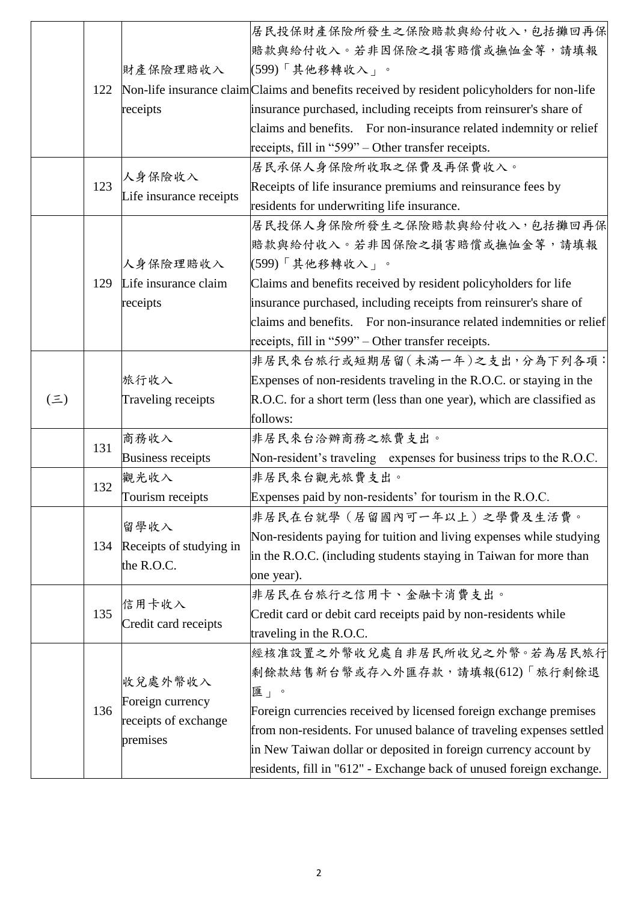|         |     |                                          | 居民投保財產保險所發生之保險賠款與給付收入,包括攤回再保                                                                 |
|---------|-----|------------------------------------------|----------------------------------------------------------------------------------------------|
|         |     |                                          | 賠款與給付收入。若非因保險之損害賠償或撫恤金等,請填報                                                                  |
|         |     | 財產保險理賠收入                                 | (599)「其他移轉收入」。                                                                               |
|         | 122 |                                          | Non-life insurance claim Claims and benefits received by resident policyholders for non-life |
|         |     | receipts                                 | insurance purchased, including receipts from reinsurer's share of                            |
|         |     |                                          | claims and benefits. For non-insurance related indemnity or relief                           |
|         |     |                                          | receipts, fill in "599" – Other transfer receipts.                                           |
|         |     |                                          | 居民承保人身保險所收取之保費及再保費收入。                                                                        |
|         | 123 | 人身保險收入                                   | Receipts of life insurance premiums and reinsurance fees by                                  |
|         |     | Life insurance receipts                  | residents for underwriting life insurance.                                                   |
|         |     |                                          | 居民投保人身保險所發生之保險賠款與給付收入,包括攤回再保                                                                 |
|         |     |                                          | 賠款與給付收入。若非因保險之損害賠償或撫恤金等,請填報                                                                  |
|         |     | 人身保險理賠收入                                 | (599)「其他移轉收入」。                                                                               |
|         | 129 | Life insurance claim                     | Claims and benefits received by resident policyholders for life                              |
|         |     | receipts                                 | insurance purchased, including receipts from reinsurer's share of                            |
|         |     |                                          | claims and benefits. For non-insurance related indemnities or relief                         |
|         |     |                                          | receipts, fill in "599" – Other transfer receipts.                                           |
|         |     |                                          | 非居民來台旅行或短期居留(未滿一年)之支出,分為下列各項:                                                                |
|         |     | 旅行收入                                     | Expenses of non-residents traveling in the R.O.C. or staying in the                          |
| $(\Xi)$ |     | Traveling receipts                       | R.O.C. for a short term (less than one year), which are classified as                        |
|         |     |                                          | follows:                                                                                     |
|         | 131 | 商務收入                                     | 非居民來台洽辦商務之旅費支出。                                                                              |
|         |     | <b>Business receipts</b>                 | Non-resident's traveling expenses for business trips to the R.O.C.                           |
|         | 132 | 觀光收入                                     | 非居民來台觀光旅費支出。                                                                                 |
|         |     | Tourism receipts                         | Expenses paid by non-residents' for tourism in the R.O.C.                                    |
|         |     | 留學收入                                     | 非居民在台就學 (居留國內可一年以上) 之學費及生活費。                                                                 |
|         | 134 | Receipts of studying in                  | Non-residents paying for tuition and living expenses while studying                          |
|         |     |                                          | in the R.O.C. (including students staying in Taiwan for more than                            |
|         |     | the R.O.C.                               | one year).                                                                                   |
|         |     | 信用卡收入                                    | 非居民在台旅行之信用卡、金融卡消費支出。                                                                         |
|         | 135 | Credit card receipts                     | Credit card or debit card receipts paid by non-residents while                               |
|         |     |                                          | traveling in the R.O.C.                                                                      |
|         |     |                                          | 經核准設置之外幣收兌處自非居民所收兌之外幣。若為居民旅行                                                                 |
|         |     | 收兌處外幣收入                                  | 剩餘款結售新台幣或存入外匯存款,請填報(612)「旅行剩餘退                                                               |
|         |     |                                          | 匯」。                                                                                          |
|         | 136 | Foreign currency<br>receipts of exchange | Foreign currencies received by licensed foreign exchange premises                            |
|         |     |                                          | from non-residents. For unused balance of traveling expenses settled                         |
|         |     | premises                                 | in New Taiwan dollar or deposited in foreign currency account by                             |
|         |     |                                          | residents, fill in "612" - Exchange back of unused foreign exchange.                         |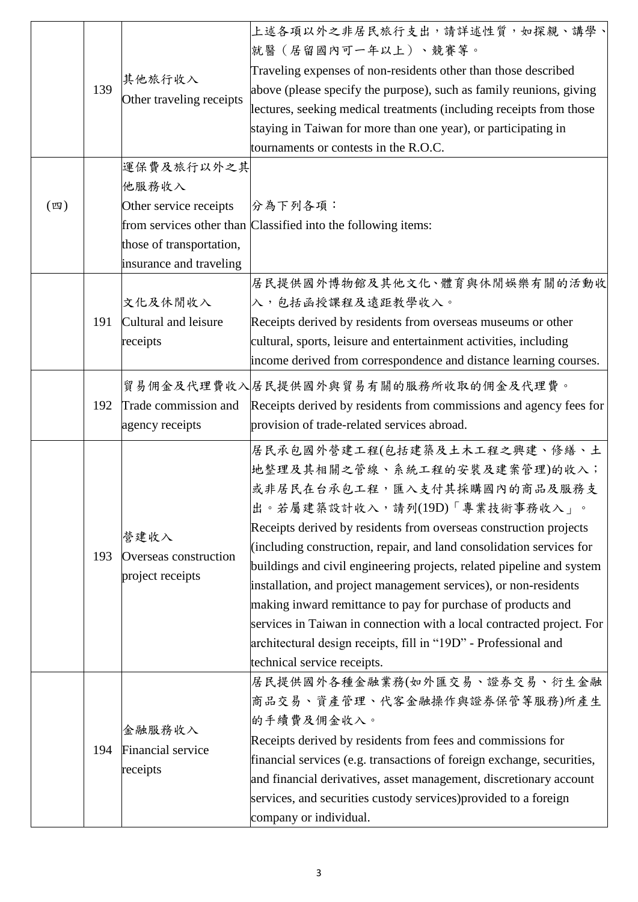|                   | 139 | 其他旅行收入<br>Other traveling receipts                                                                   | 上述各項以外之非居民旅行支出,請詳述性質,如探親、講學、<br>就醫(居留國內可一年以上)、競賽等。<br>Traveling expenses of non-residents other than those described<br>above (please specify the purpose), such as family reunions, giving<br>lectures, seeking medical treatments (including receipts from those<br>staying in Taiwan for more than one year), or participating in<br>tournaments or contests in the R.O.C.                                                                                                                                                                                                                                                                                     |
|-------------------|-----|------------------------------------------------------------------------------------------------------|-------------------------------------------------------------------------------------------------------------------------------------------------------------------------------------------------------------------------------------------------------------------------------------------------------------------------------------------------------------------------------------------------------------------------------------------------------------------------------------------------------------------------------------------------------------------------------------------------------------------------------------------------------------------|
| $(\, \mathbb{Z})$ |     | 運保費及旅行以外之其<br>他服務收入<br>Other service receipts<br>those of transportation,<br>insurance and traveling | 分為下列各項:<br>from services other than Classified into the following items:                                                                                                                                                                                                                                                                                                                                                                                                                                                                                                                                                                                          |
|                   | 191 | 文化及休閒收入<br>Cultural and leisure<br>receipts                                                          | 居民提供國外博物館及其他文化、體育與休閒娛樂有關的活動收<br>入,包括函授課程及遠距教學收入。<br>Receipts derived by residents from overseas museums or other<br>cultural, sports, leisure and entertainment activities, including<br>income derived from correspondence and distance learning courses.                                                                                                                                                                                                                                                                                                                                                                                                        |
|                   | 192 | Trade commission and<br>agency receipts                                                              | 貿易佣金及代理費收入居民提供國外與貿易有關的服務所收取的佣金及代理費。<br>Receipts derived by residents from commissions and agency fees for<br>provision of trade-related services abroad.                                                                                                                                                                                                                                                                                                                                                                                                                                                                                                          |
|                   | 193 | 營建收入<br>Overseas construction<br>project receipts                                                    | 居民承包國外營建工程(包括建築及土木工程之興建、修繕、土<br>地整理及其相關之管線、系統工程的安裝及建案管理)的收入;<br>或非居民在台承包工程,匯入支付其採購國內的商品及服務支<br>出。若屬建築設計收入,請列(19D)「專業技術事務收入」。<br>Receipts derived by residents from overseas construction projects<br>(including construction, repair, and land consolidation services for<br>buildings and civil engineering projects, related pipeline and system<br>installation, and project management services), or non-residents<br>making inward remittance to pay for purchase of products and<br>services in Taiwan in connection with a local contracted project. For<br>architectural design receipts, fill in "19D" - Professional and<br>technical service receipts. |
|                   | 194 | 金融服務收入<br>Financial service<br>receipts                                                              | 居民提供國外各種金融業務(如外匯交易、證券交易、衍生金融<br>商品交易、資產管理、代客金融操作與證券保管等服務)所產生<br>的手續費及佣金收入。<br>Receipts derived by residents from fees and commissions for<br>financial services (e.g. transactions of foreign exchange, securities,<br>and financial derivatives, asset management, discretionary account<br>services, and securities custody services) provided to a foreign<br>company or individual.                                                                                                                                                                                                                                                                           |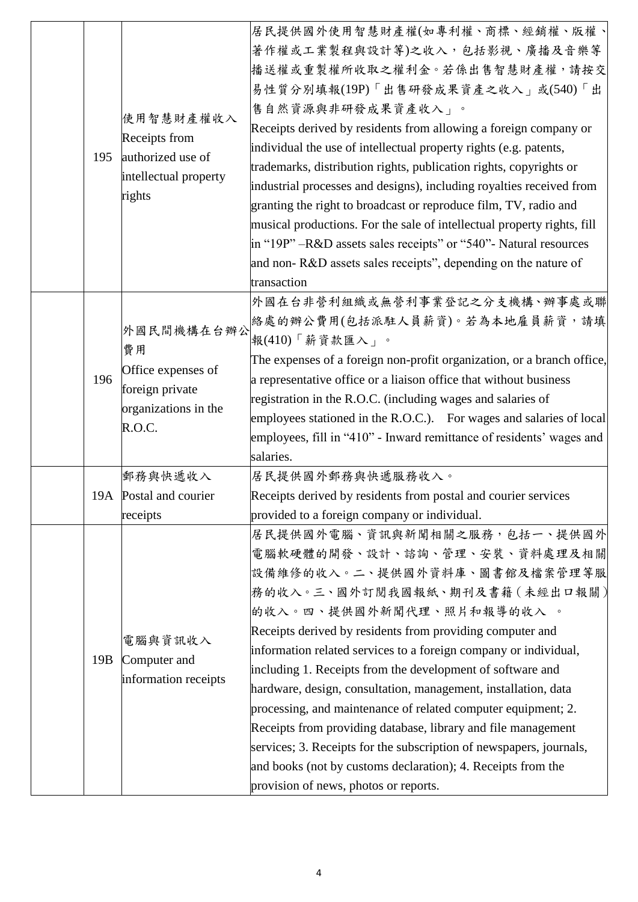| 195 | 使用智慧財產權收入<br>Receipts from<br>authorized use of<br>intellectual property<br>rights          | 居民提供國外使用智慧財產權(如專利權、商標、經銷權、版權、<br>著作權或工業製程與設計等)之收入,包括影視、廣播及音樂等<br>播送權或重製權所收取之權利金。若係出售智慧財產權,請按交<br>易性質分別填報(19P)「出售研發成果資產之收入」或(540)「出<br>售自然資源與非研發成果資產收入」。<br>Receipts derived by residents from allowing a foreign company or<br>individual the use of intellectual property rights (e.g. patents,<br>trademarks, distribution rights, publication rights, copyrights or<br>industrial processes and designs), including royalties received from<br>granting the right to broadcast or reproduce film, TV, radio and<br>musical productions. For the sale of intellectual property rights, fill<br>in "19P" -R&D assets sales receipts" or "540"- Natural resources<br>and non-R&D assets sales receipts", depending on the nature of<br>transaction |
|-----|---------------------------------------------------------------------------------------------|----------------------------------------------------------------------------------------------------------------------------------------------------------------------------------------------------------------------------------------------------------------------------------------------------------------------------------------------------------------------------------------------------------------------------------------------------------------------------------------------------------------------------------------------------------------------------------------------------------------------------------------------------------------------------------------------------------------------------------------------------|
| 196 | 外國民間機構在台辦公<br>費用<br>Office expenses of<br>foreign private<br>organizations in the<br>R.O.C. | 外國在台非營利組織或無營利事業登記之分支機構、辦事處或聯<br>絡處的辦公費用(包括派駐人員薪資)。若為本地雇員薪資,請填<br>報(410)「薪資款匯入」。<br>The expenses of a foreign non-profit organization, or a branch office,<br>a representative office or a liaison office that without business<br>registration in the R.O.C. (including wages and salaries of<br>employees stationed in the R.O.C.). For wages and salaries of local<br>employees, fill in "410" - Inward remittance of residents' wages and<br>salaries.                                                                                                                                                                                                                                                                                          |
|     | 郵務與快遞收入<br>19A Postal and courier<br>receipts                                               | 居民提供國外郵務與快遞服務收入。<br>Receipts derived by residents from postal and courier services<br>provided to a foreign company or individual.                                                                                                                                                                                                                                                                                                                                                                                                                                                                                                                                                                                                                 |
| 19B | 電腦與資訊收入<br>Computer and<br>information receipts                                             | 居民提供國外電腦、資訊與新聞相關之服務,包括一、提供國外<br>電腦軟硬體的開發、設計、諮詢、管理、安裝、資料處理及相關<br>設備維修的收入。二、提供國外資料庫、圖書館及檔案管理等服<br>務的收入。三、國外訂閱我國報紙、期刊及書籍(未經出口報關)<br>的收入。四、提供國外新聞代理、照片和報導的收入 。<br>Receipts derived by residents from providing computer and<br>information related services to a foreign company or individual,<br>including 1. Receipts from the development of software and<br>hardware, design, consultation, management, installation, data<br>processing, and maintenance of related computer equipment; 2.<br>Receipts from providing database, library and file management<br>services; 3. Receipts for the subscription of newspapers, journals,<br>and books (not by customs declaration); 4. Receipts from the<br>provision of news, photos or reports.      |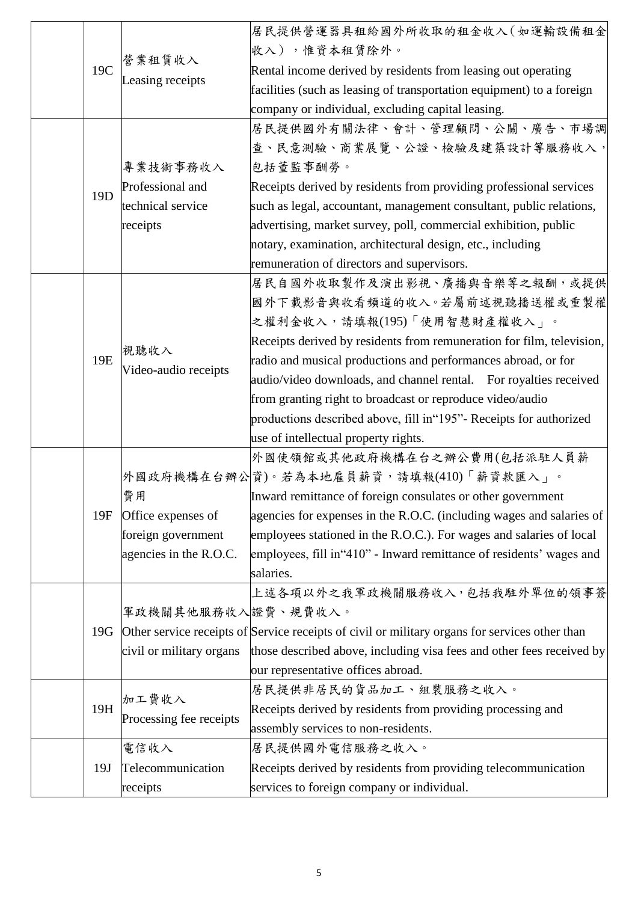|                 | 營業租賃收入                   | 居民提供營運器具租給國外所收取的租金收入(如運輸設備租金                                                                   |
|-----------------|--------------------------|------------------------------------------------------------------------------------------------|
|                 |                          | 收入),惟資本租賃除外。                                                                                   |
| 19C             |                          | Rental income derived by residents from leasing out operating                                  |
|                 | Leasing receipts         | facilities (such as leasing of transportation equipment) to a foreign                          |
|                 |                          | company or individual, excluding capital leasing.                                              |
|                 |                          | 居民提供國外有關法律、會計、管理顧問、公關、廣告、市場調                                                                   |
|                 |                          | 查、民意測驗、商業展覽、公證、檢驗及建築設計等服務收入,                                                                   |
|                 | 專業技術事務收入                 | 包括董監事酬勞。                                                                                       |
| 19 <sub>D</sub> | Professional and         | Receipts derived by residents from providing professional services                             |
|                 | technical service        | such as legal, accountant, management consultant, public relations,                            |
|                 | receipts                 | advertising, market survey, poll, commercial exhibition, public                                |
|                 |                          | notary, examination, architectural design, etc., including                                     |
|                 |                          | remuneration of directors and supervisors.                                                     |
|                 |                          | 居民自國外收取製作及演出影視、廣播與音樂等之報酬,或提供                                                                   |
|                 |                          | 國外下載影音與收看頻道的收入。若屬前述視聽播送權或重製權                                                                   |
|                 |                          | 之權利金收入,請填報(195)「使用智慧財產權收入」。                                                                    |
|                 | 視聽收入                     | Receipts derived by residents from remuneration for film, television,                          |
| 19E             | Video-audio receipts     | radio and musical productions and performances abroad, or for                                  |
|                 |                          | audio/video downloads, and channel rental. For royalties received                              |
|                 |                          | from granting right to broadcast or reproduce video/audio                                      |
|                 |                          | productions described above, fill in "195" - Receipts for authorized                           |
|                 |                          | use of intellectual property rights.                                                           |
|                 |                          | 外國使領館或其他政府機構在台之辦公費用(包括派駐人員薪                                                                    |
|                 |                          | 外國政府機構在台辦公資)。若為本地雇員薪資,請填報(410)「薪資款匯入」。                                                         |
|                 | 費用                       | Inward remittance of foreign consulates or other government                                    |
| 19F             | Office expenses of       | agencies for expenses in the R.O.C. (including wages and salaries of                           |
|                 | foreign government       | employees stationed in the R.O.C.). For wages and salaries of local                            |
|                 | agencies in the R.O.C.   | employees, fill in "410" - Inward remittance of residents' wages and                           |
|                 |                          | salaries.                                                                                      |
|                 |                          | 上述各項以外之我軍政機關服務收入,包括我駐外單位的領事簽                                                                   |
|                 | 軍政機關其他服務收入證費、規費收入。       |                                                                                                |
| 19G             |                          | Other service receipts of Service receipts of civil or military organs for services other than |
|                 | civil or military organs | those described above, including visa fees and other fees received by                          |
|                 |                          | our representative offices abroad.                                                             |
|                 | 加工費收入                    | 居民提供非居民的貨品加工、組裝服務之收入。                                                                          |
| 19H             | Processing fee receipts  | Receipts derived by residents from providing processing and                                    |
|                 |                          | assembly services to non-residents.                                                            |
|                 | 電信收入                     | 居民提供國外電信服務之收入。                                                                                 |
| 19J             | Telecommunication        | Receipts derived by residents from providing telecommunication                                 |
|                 | receipts                 | services to foreign company or individual.                                                     |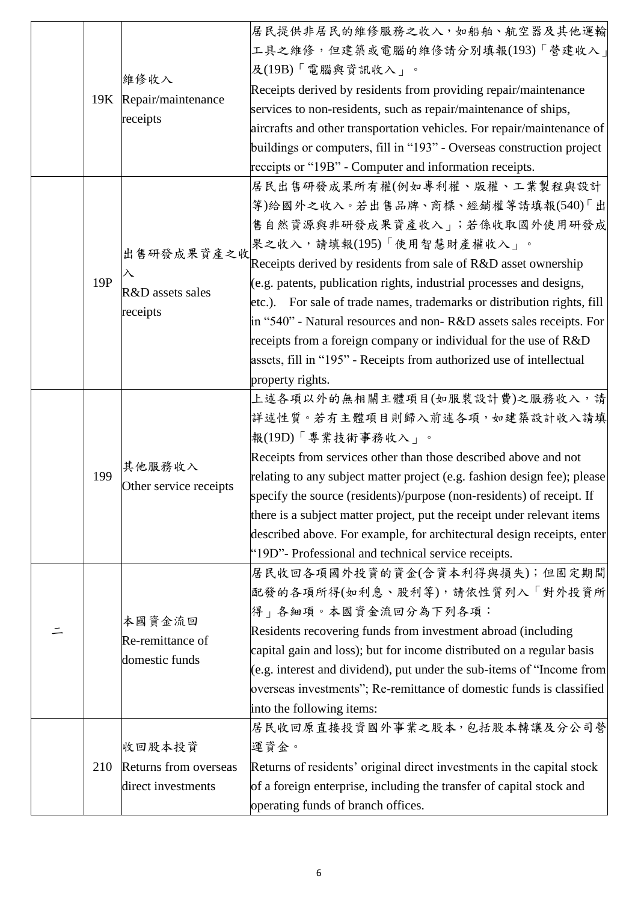|     |                        | 居民提供非居民的維修服務之收入,如船舶、航空器及其他運輸                                             |
|-----|------------------------|--------------------------------------------------------------------------|
|     |                        | 工具之維修,但建築或電腦的維修請分別填報(193)「營建收入」                                          |
|     |                        | 及(19B)「電腦與資訊收入」。                                                         |
|     | 維修收入                   | Receipts derived by residents from providing repair/maintenance          |
|     | 19K Repair/maintenance | services to non-residents, such as repair/maintenance of ships,          |
|     | receipts               | aircrafts and other transportation vehicles. For repair/maintenance of   |
|     |                        | buildings or computers, fill in "193" - Overseas construction project    |
|     |                        | receipts or "19B" - Computer and information receipts.                   |
|     |                        | 居民出售研發成果所有權(例如專利權、版權、工業製程與設計                                             |
|     |                        | 等)給國外之收入。若出售品牌、商標、經銷權等請填報(540)「出                                         |
|     |                        | 售自然資源與非研發成果資產收入」;若係收取國外使用研發成                                             |
|     |                        | 果之收入,請填報(195)「使用智慧財產權收入」。                                                |
|     | 出售研發成果資產之收             | Receipts derived by residents from sale of R&D asset ownership           |
| 19P | 入                      | (e.g. patents, publication rights, industrial processes and designs,     |
|     | R&D assets sales       | etc.). For sale of trade names, trademarks or distribution rights, fill  |
|     | receipts               | in "540" - Natural resources and non-R&D assets sales receipts. For      |
|     |                        | receipts from a foreign company or individual for the use of $R&D$       |
|     |                        | assets, fill in "195" - Receipts from authorized use of intellectual     |
|     |                        | property rights.                                                         |
|     |                        | 上述各項以外的無相關主體項目(如服裝設計費)之服務收入,請                                            |
|     |                        | 詳述性質。若有主體項目則歸入前述各項, 如建築設計收入請填                                            |
|     |                        | 報(19D)「專業技術事務收入」。                                                        |
|     | 其他服務收入                 | Receipts from services other than those described above and not          |
| 199 | Other service receipts | relating to any subject matter project (e.g. fashion design fee); please |
|     |                        | specify the source (residents)/purpose (non-residents) of receipt. If    |
|     |                        | there is a subject matter project, put the receipt under relevant items  |
|     |                        | described above. For example, for architectural design receipts, enter   |
|     |                        | "19D"- Professional and technical service receipts.                      |
|     |                        | 居民收回各項國外投資的資金(含資本利得與損失);但固定期間                                            |
|     |                        | 配發的各項所得(如利息、股利等),請依性質列入「對外投資所                                            |
|     | 本國資金流回                 | 得」各細項。本國資金流回分為下列各項:                                                      |
|     | Re-remittance of       | Residents recovering funds from investment abroad (including             |
|     | domestic funds         | capital gain and loss); but for income distributed on a regular basis    |
|     |                        | $(e.g.$ interest and dividend), put under the sub-items of "Income from  |
|     |                        | overseas investments"; Re-remittance of domestic funds is classified     |
|     |                        | into the following items:                                                |
|     |                        | 居民收回原直接投資國外事業之股本,包括股本轉讓及分公司營                                             |
|     | 收回股本投資                 | 運資金。                                                                     |
| 210 | Returns from overseas  | Returns of residents' original direct investments in the capital stock   |
|     | direct investments     | of a foreign enterprise, including the transfer of capital stock and     |
|     |                        | operating funds of branch offices.                                       |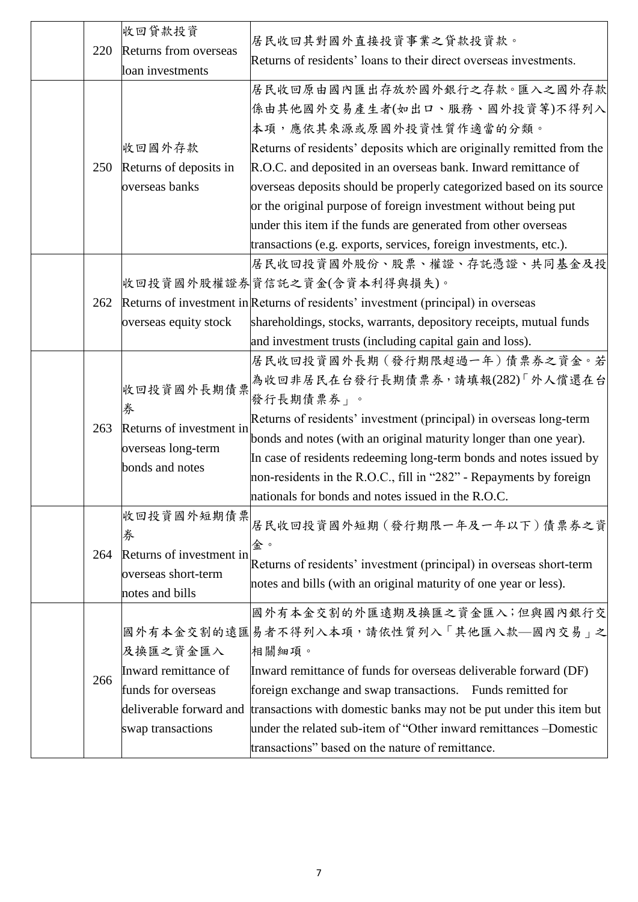| 220 | 收回貸款投資<br>Returns from overseas<br>loan investments                                                    | 居民收回其對國外直接投資事業之貸款投資款。<br>Returns of residents' loans to their direct overseas investments.<br>居民收回原由國內匯出存放於國外銀行之存款。匯入之國外存款<br>係由其他國外交易產生者(如出口、服務、國外投資等)不得列入<br>本項,應依其來源或原國外投資性質作適當的分類。                                                                                                                                                                                                                                     |
|-----|--------------------------------------------------------------------------------------------------------|----------------------------------------------------------------------------------------------------------------------------------------------------------------------------------------------------------------------------------------------------------------------------------------------------------------------------------------------------------------------------------------------------------------------------|
| 250 | 收回國外存款<br>Returns of deposits in<br>overseas banks                                                     | Returns of residents' deposits which are originally remitted from the<br>R.O.C. and deposited in an overseas bank. Inward remittance of<br>overseas deposits should be properly categorized based on its source<br>or the original purpose of foreign investment without being put<br>under this item if the funds are generated from other overseas<br>transactions (e.g. exports, services, foreign investments, etc.).  |
| 262 | overseas equity stock                                                                                  | 居民收回投資國外股份、股票、權證、存託憑證、共同基金及投<br>收回投資國外股權證券資信託之資金(含資本利得與損失)。<br>Returns of investment in Returns of residents' investment (principal) in overseas<br>shareholdings, stocks, warrants, depository receipts, mutual funds<br>and investment trusts (including capital gain and loss).                                                                                                                                         |
| 263 | 收回投資國外長期債票<br>券<br>Returns of investment in<br>overseas long-term<br>bonds and notes                   | 居民收回投資國外長期 (發行期限超過一年)債票券之資金。若<br>為收回非居民在台發行長期債票券,請填報(282)「外人償還在台<br>發行長期債票券」。<br>Returns of residents' investment (principal) in overseas long-term<br>bonds and notes (with an original maturity longer than one year).<br>In case of residents redeeming long-term bonds and notes issued by<br>non-residents in the R.O.C., fill in "282" - Repayments by foreign<br>nationals for bonds and notes issued in the R.O.C. |
| 264 | 收回投資國外短期債票<br>券<br>Returns of investment in<br>overseas short-term<br>notes and bills                  | 居民收回投資國外短期 (發行期限一年及一年以下)債票券之資<br>金。<br>Returns of residents' investment (principal) in overseas short-term<br>notes and bills (with an original maturity of one year or less).                                                                                                                                                                                                                                             |
| 266 | 及换匯之資金匯入<br>Inward remittance of<br>funds for overseas<br>deliverable forward and<br>swap transactions | 國外有本金交割的外匯遠期及換匯之資金匯入;但與國內銀行交<br>國外有本金交割的遠匯易者不得列入本項,請依性質列入「其他匯入款—國內交易」之<br>相關細項。<br>Inward remittance of funds for overseas deliverable forward (DF)<br>foreign exchange and swap transactions. Funds remitted for<br>transactions with domestic banks may not be put under this item but<br>under the related sub-item of "Other inward remittances -Domestic<br>transactions" based on the nature of remittance.          |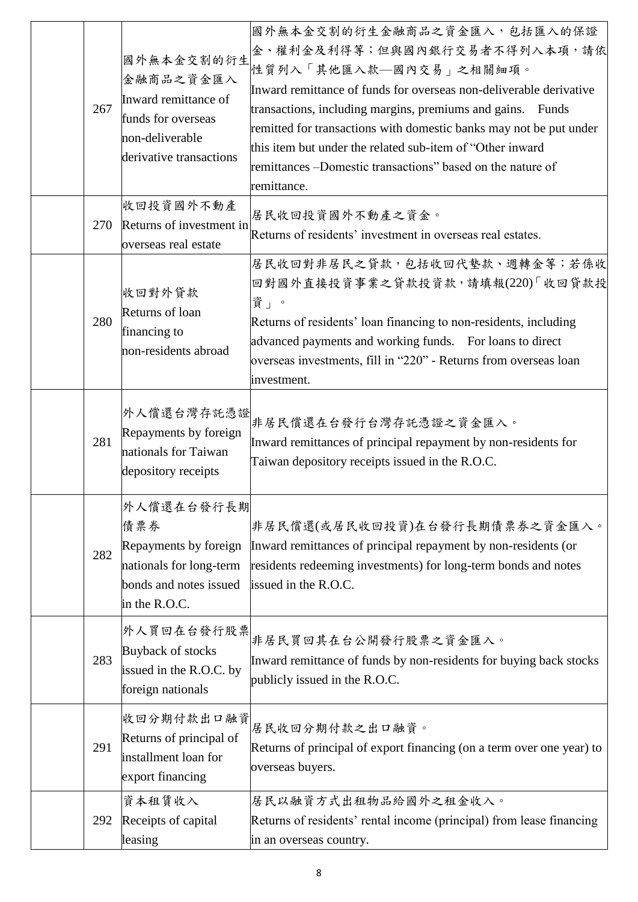| 267 | 國外無本金交割的衍生<br>金融商品之資金匯入<br>Inward remittance of<br>funds for overseas<br>non-deliverable<br>derivative transactions | 國外無本金交割的衍生金融商品之資金匯入,包括匯入的保證<br>金、權利金及利得等;但與國內銀行交易者不得列入本項,請依<br>性質列入「其他匯入款–國內交易」之相關細項。<br>Inward remittance of funds for overseas non-deliverable derivative<br>transactions, including margins, premiums and gains. Funds<br>remitted for transactions with domestic banks may not be put under<br>this item but under the related sub-item of "Other inward"<br>remittances –Domestic transactions" based on the nature of<br>remittance. |
|-----|---------------------------------------------------------------------------------------------------------------------|--------------------------------------------------------------------------------------------------------------------------------------------------------------------------------------------------------------------------------------------------------------------------------------------------------------------------------------------------------------------------------------------------------------------------------------------|
| 270 | 收回投資國外不動產<br>Returns of investment in<br>overseas real estate                                                       | 居民收回投資國外不動產之資金。<br>Returns of residents' investment in overseas real estates.                                                                                                                                                                                                                                                                                                                                                              |
| 280 | 收回對外貸款<br>Returns of loan<br>financing to<br>non-residents abroad                                                   | 居民收回對非居民之貸款,包括收回代墊款、週轉金等;若係收<br>回對國外直接投資事業之貸款投資款,請填報(220)「收回貸款投<br>資」。<br>Returns of residents' loan financing to non-residents, including<br>advanced payments and working funds. For loans to direct<br>overseas investments, fill in "220" - Returns from overseas loan<br>investment.                                                                                                                                                  |
| 281 | 外人償還台灣存託憑證<br>Repayments by foreign<br>nationals for Taiwan<br>depository receipts                                  | 非居民償還在台發行台灣存託憑證之資金匯入。<br>Inward remittances of principal repayment by non-residents for<br>Taiwan depository receipts issued in the R.O.C.                                                                                                                                                                                                                                                                                                 |
| 282 | 外人償還在台發行長期<br>債票券<br>Repayments by foreign<br>nationals for long-term<br>bonds and notes issued<br>in the R.O.C.    | 非居民償還(或居民收回投資)在台發行長期債票券之資金匯入。<br>Inward remittances of principal repayment by non-residents (or<br>residents redeeming investments) for long-term bonds and notes<br>issued in the R.O.C.                                                                                                                                                                                                                                                  |
| 283 | 外人買回在台發行股票<br>Buyback of stocks<br>issued in the R.O.C. by<br>foreign nationals                                     | 非居民買回其在台公開發行股票之資金匯入。<br>Inward remittance of funds by non-residents for buying back stocks<br>publicly issued in the R.O.C.                                                                                                                                                                                                                                                                                                                |
| 291 | 收回分期付款出口融資<br>Returns of principal of<br>installment loan for<br>export financing                                   | 居民收回分期付款之出口融資。<br>Returns of principal of export financing (on a term over one year) to<br>overseas buyers.                                                                                                                                                                                                                                                                                                                                |
| 292 | 資本租賃收入<br>Receipts of capital<br>leasing                                                                            | 居民以融資方式出租物品給國外之租金收入。<br>Returns of residents' rental income (principal) from lease financing<br>in an overseas country.                                                                                                                                                                                                                                                                                                                    |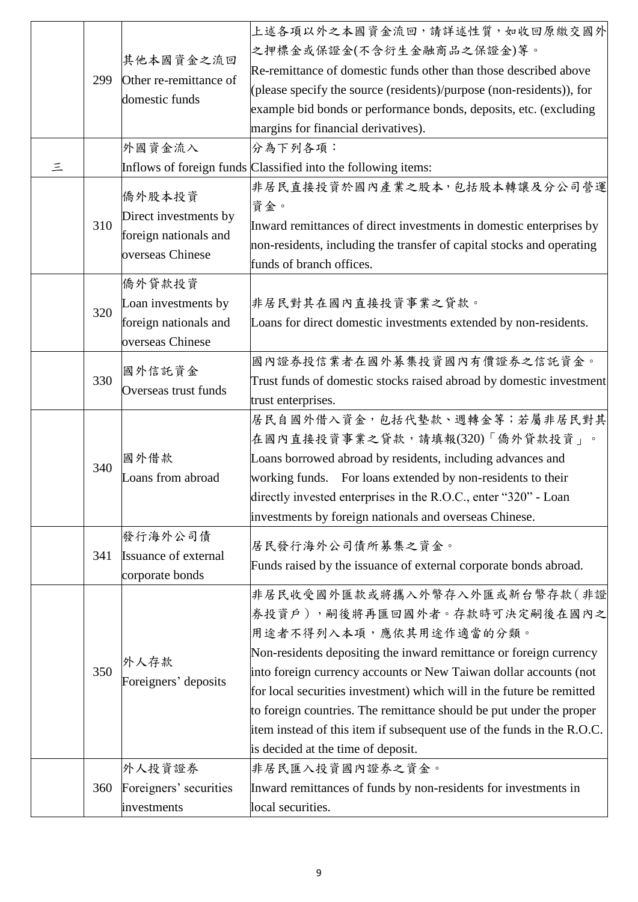| 299 | 其他本國資金之流回<br>Other re-remittance of<br>domestic funds                        | 上述各項以外之本國資金流回,請詳述性質,如收回原繳交國外<br>之押標金或保證金(不含衍生金融商品之保證金)等。<br>Re-remittance of domestic funds other than those described above<br>(please specify the source (residents)/purpose (non-residents)), for<br>example bid bonds or performance bonds, deposits, etc. (excluding<br>margins for financial derivatives).                                                                                                                                                                                  |
|-----|------------------------------------------------------------------------------|---------------------------------------------------------------------------------------------------------------------------------------------------------------------------------------------------------------------------------------------------------------------------------------------------------------------------------------------------------------------------------------------------------------------------------------------------------------------------------------------------|
| 三   | 外國資金流入                                                                       | 分為下列各項:<br>Inflows of foreign funds Classified into the following items:                                                                                                                                                                                                                                                                                                                                                                                                                          |
| 310 | 僑外股本投資<br>Direct investments by<br>foreign nationals and<br>overseas Chinese | 非居民直接投資於國內產業之股本,包括股本轉讓及分公司營運<br>資金。<br>Inward remittances of direct investments in domestic enterprises by<br>non-residents, including the transfer of capital stocks and operating<br>funds of branch offices.                                                                                                                                                                                                                                                                                   |
| 320 | 僑外貸款投資<br>Loan investments by<br>foreign nationals and<br>overseas Chinese   | 非居民對其在國內直接投資事業之貸款。<br>Loans for direct domestic investments extended by non-residents.                                                                                                                                                                                                                                                                                                                                                                                                            |
| 330 | 國外信託資金<br>Overseas trust funds                                               | 國內證券投信業者在國外募集投資國內有價證券之信託資金。<br>Trust funds of domestic stocks raised abroad by domestic investment<br>trust enterprises.                                                                                                                                                                                                                                                                                                                                                                          |
| 340 | 國外借款<br>Loans from abroad                                                    | 居民自國外借入資金,包括代墊款、週轉金等;若屬非居民對其<br>在國內直接投資事業之貸款,請填報(320)「僑外貸款投資」。<br>Loans borrowed abroad by residents, including advances and<br>working funds. For loans extended by non-residents to their<br>directly invested enterprises in the R.O.C., enter "320" - Loan<br>investments by foreign nationals and overseas Chinese.                                                                                                                                                                          |
| 341 | 發行海外公司債<br><b>Issuance of external</b><br>corporate bonds                    | 居民發行海外公司債所募集之資金。<br>Funds raised by the issuance of external corporate bonds abroad.                                                                                                                                                                                                                                                                                                                                                                                                              |
| 350 | 外人存款<br>Foreigners' deposits                                                 | 非居民收受國外匯款或將攜入外幣存入外匯或新台幣存款(非證<br>券投資戶),嗣後將再匯回國外者。存款時可決定嗣後在國內之<br>用途者不得列入本項,應依其用途作適當的分類。<br>Non-residents depositing the inward remittance or foreign currency<br>into foreign currency accounts or New Taiwan dollar accounts (not<br>for local securities investment) which will in the future be remitted<br>to foreign countries. The remittance should be put under the proper<br>item instead of this item if subsequent use of the funds in the R.O.C.<br>is decided at the time of deposit. |
| 360 | 外人投資證券<br>Foreigners' securities<br>investments                              | 非居民匯入投資國內證券之資金。<br>Inward remittances of funds by non-residents for investments in<br>local securities.                                                                                                                                                                                                                                                                                                                                                                                           |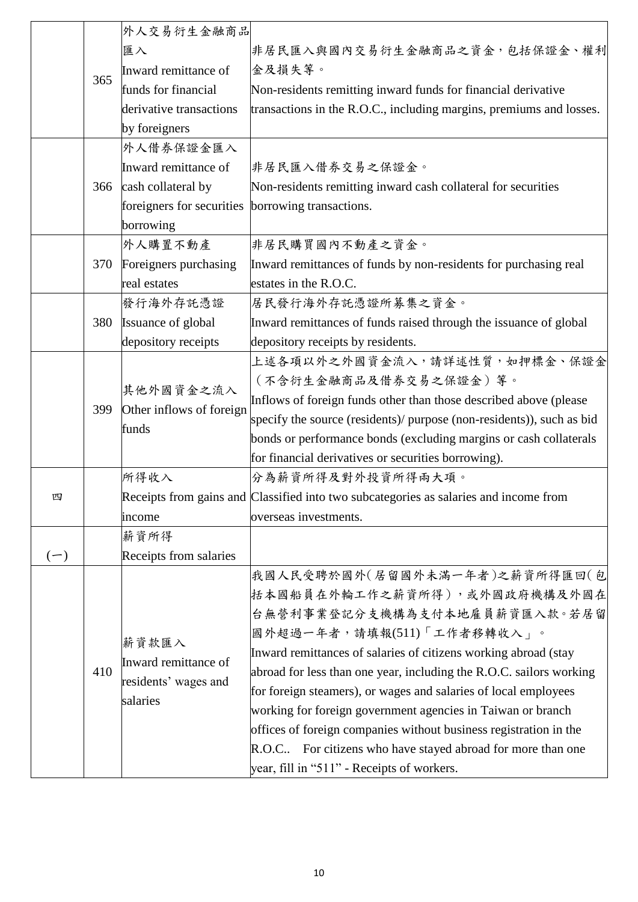|       |     | 外人交易衍生金融商品                                               |                                                                                       |
|-------|-----|----------------------------------------------------------|---------------------------------------------------------------------------------------|
|       |     | 匯入                                                       | 非居民匯入與國內交易衍生金融商品之資金,包括保證金、權利                                                          |
|       |     | Inward remittance of                                     | 金及損失等。                                                                                |
|       | 365 | funds for financial                                      | Non-residents remitting inward funds for financial derivative                         |
|       |     | derivative transactions                                  | transactions in the R.O.C., including margins, premiums and losses.                   |
|       |     | by foreigners                                            |                                                                                       |
|       |     | 外人借券保證金匯入                                                |                                                                                       |
|       |     | Inward remittance of                                     | 非居民匯入借券交易之保證金。                                                                        |
|       | 366 | cash collateral by                                       | Non-residents remitting inward cash collateral for securities                         |
|       |     | foreigners for securities borrowing transactions.        |                                                                                       |
|       |     | borrowing                                                |                                                                                       |
|       |     | 外人購置不動產                                                  | 非居民購買國內不動產之資金。                                                                        |
|       | 370 | Foreigners purchasing                                    | Inward remittances of funds by non-residents for purchasing real                      |
|       |     | real estates                                             | estates in the R.O.C.                                                                 |
|       |     | 發行海外存託憑證                                                 | 居民發行海外存託憑證所募集之資金。                                                                     |
|       | 380 | Issuance of global                                       | Inward remittances of funds raised through the issuance of global                     |
|       |     | depository receipts                                      | depository receipts by residents.                                                     |
|       |     | 其他外國資金之流入<br>Other inflows of foreign<br>funds           | 上述各項以外之外國資金流入,請詳述性質,如押標金、保證金                                                          |
|       |     |                                                          | (不含衍生金融商品及借券交易之保證金)等。                                                                 |
|       | 399 |                                                          | Inflows of foreign funds other than those described above (please                     |
|       |     |                                                          | specify the source (residents)/ purpose (non-residents)), such as bid                 |
|       |     |                                                          | bonds or performance bonds (excluding margins or cash collaterals                     |
|       |     |                                                          | for financial derivatives or securities borrowing).                                   |
|       |     | 所得收入                                                     | 分為薪資所得及對外投資所得兩大項。                                                                     |
| 四     |     |                                                          | Receipts from gains and Classified into two subcategories as salaries and income from |
|       |     | income                                                   | overseas investments.                                                                 |
|       |     | 薪資所得                                                     |                                                                                       |
| $(-)$ |     | Receipts from salaries                                   |                                                                                       |
|       |     |                                                          | 我國人民受聘於國外(居留國外未滿一年者)之薪資所得匯回(包                                                         |
|       |     |                                                          | 括本國船員在外輪工作之薪資所得),或外國政府機構及外國在                                                          |
|       |     |                                                          | 台無營利事業登記分支機構為支付本地雇員薪資匯入款。若居留                                                          |
|       |     | 薪資款匯入                                                    | 國外超過一年者,請填報(511)「工作者移轉收入」。                                                            |
|       | 410 | Inward remittance of<br>residents' wages and<br>salaries | Inward remittances of salaries of citizens working abroad (stay                       |
|       |     |                                                          | abroad for less than one year, including the R.O.C. sailors working                   |
|       |     |                                                          | for foreign steamers), or wages and salaries of local employees                       |
|       |     |                                                          | working for foreign government agencies in Taiwan or branch                           |
|       |     |                                                          | offices of foreign companies without business registration in the                     |
|       |     |                                                          | R.O.C. For citizens who have stayed abroad for more than one                          |
|       |     |                                                          | year, fill in "511" - Receipts of workers.                                            |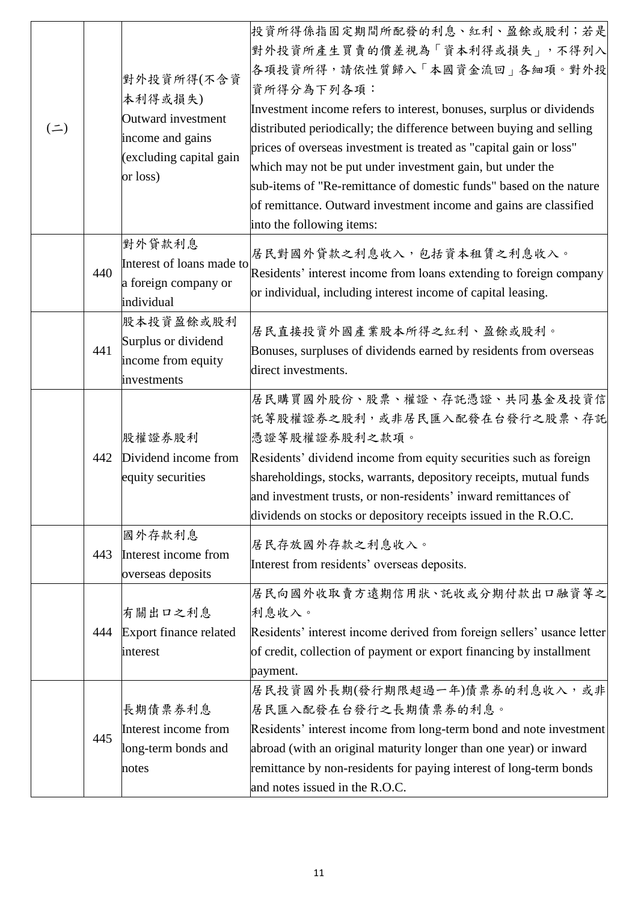| $($ = $)$ |     | 對外投資所得(不含資<br>本利得或損失)<br>Outward investment<br>income and gains<br>(excluding capital gain<br>or loss) | 投資所得係指固定期間所配發的利息、紅利、盈餘或股利;若是<br>對外投資所產生買賣的價差視為「資本利得或損失」,不得列入<br>各項投資所得,請依性質歸入「本國資金流回」各細項。對外投<br>資所得分為下列各項:<br>Investment income refers to interest, bonuses, surplus or dividends<br>distributed periodically; the difference between buying and selling<br>prices of overseas investment is treated as "capital gain or loss"<br>which may not be put under investment gain, but under the<br>sub-items of "Re-remittance of domestic funds" based on the nature<br>of remittance. Outward investment income and gains are classified<br>into the following items: |
|-----------|-----|--------------------------------------------------------------------------------------------------------|---------------------------------------------------------------------------------------------------------------------------------------------------------------------------------------------------------------------------------------------------------------------------------------------------------------------------------------------------------------------------------------------------------------------------------------------------------------------------------------------------------------------------------------------------------------------|
|           | 440 | 對外貸款利息<br>Interest of loans made to<br>a foreign company or<br>individual                              | 居民對國外貸款之利息收入,包括資本租賃之利息收入。<br>Residents' interest income from loans extending to foreign company<br>or individual, including interest income of capital leasing.                                                                                                                                                                                                                                                                                                                                                                                                     |
|           | 441 | 股本投資盈餘或股利<br>Surplus or dividend<br>income from equity<br>investments                                  | 居民直接投資外國產業股本所得之紅利、盈餘或股利。<br>Bonuses, surpluses of dividends earned by residents from overseas<br>direct investments.                                                                                                                                                                                                                                                                                                                                                                                                                                                |
|           | 442 | 股權證券股利<br>Dividend income from<br>equity securities                                                    | 居民購買國外股份、股票、權證、存託憑證、共同基金及投資信<br>託等股權證券之股利,或非居民匯入配發在台發行之股票、存託<br>憑證等股權證券股利之款項。<br>Residents' dividend income from equity securities such as foreign<br>shareholdings, stocks, warrants, depository receipts, mutual funds<br>and investment trusts, or non-residents' inward remittances of<br>dividends on stocks or depository receipts issued in the R.O.C.                                                                                                                                                                                                       |
|           | 443 | 國外存款利息<br>Interest income from<br>overseas deposits                                                    | 居民存放國外存款之利息收入。<br>Interest from residents' overseas deposits.                                                                                                                                                                                                                                                                                                                                                                                                                                                                                                       |
|           | 444 | 有關出口之利息<br>Export finance related<br>interest                                                          | 居民向國外收取賣方遠期信用狀、託收或分期付款出口融資等之<br>利息收入。<br>Residents' interest income derived from foreign sellers' usance letter<br>of credit, collection of payment or export financing by installment<br>payment.                                                                                                                                                                                                                                                                                                                                                                  |
|           | 445 | 長期債票券利息<br>Interest income from<br>long-term bonds and<br>notes                                        | 居民投資國外長期(發行期限超過一年)債票券的利息收入,或非<br>居民匯入配發在台發行之長期債票券的利息。<br>Residents' interest income from long-term bond and note investment<br>abroad (with an original maturity longer than one year) or inward<br>remittance by non-residents for paying interest of long-term bonds<br>and notes issued in the R.O.C.                                                                                                                                                                                                                                                            |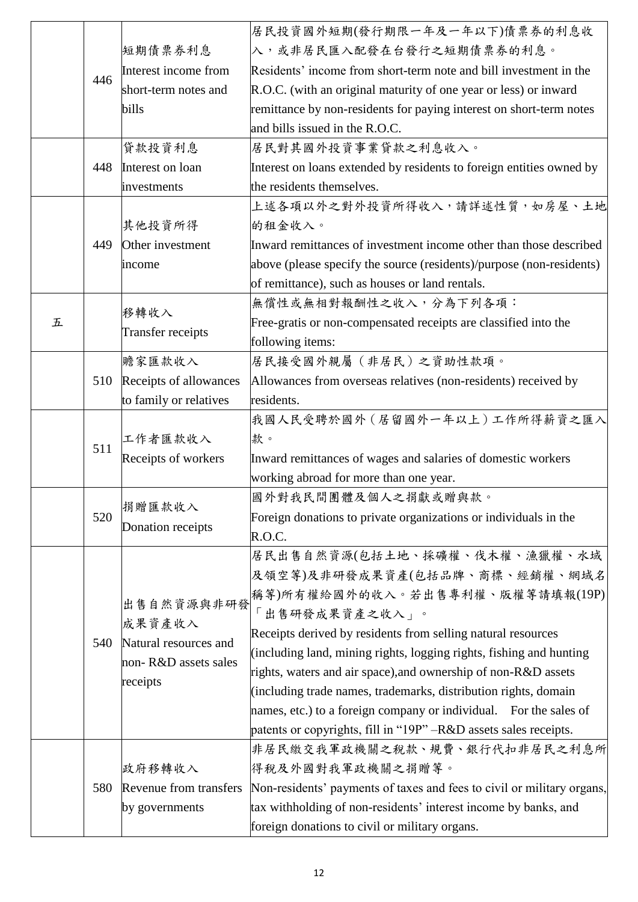|   |     |                          | 居民投資國外短期(發行期限一年及一年以下)債票券的利息收                                           |
|---|-----|--------------------------|------------------------------------------------------------------------|
|   |     | 短期債票券利息                  | 入,或非居民匯入配發在台發行之短期債票券的利息。                                               |
|   |     | Interest income from     | Residents' income from short-term note and bill investment in the      |
|   | 446 | short-term notes and     | R.O.C. (with an original maturity of one year or less) or inward       |
|   |     | bills                    | remittance by non-residents for paying interest on short-term notes    |
|   |     |                          | and bills issued in the R.O.C.                                         |
|   |     | 貸款投資利息                   | 居民對其國外投資事業貸款之利息收入。                                                     |
|   | 448 | Interest on loan         | Interest on loans extended by residents to foreign entities owned by   |
|   |     | investments              | the residents themselves.                                              |
|   |     |                          | 上述各項以外之對外投資所得收入,請詳述性質,如房屋、土地                                           |
|   |     | 其他投資所得                   | 的租金收入。                                                                 |
|   | 449 | Other investment         | Inward remittances of investment income other than those described     |
|   |     | income                   | above (please specify the source (residents)/purpose (non-residents)   |
|   |     |                          | of remittance), such as houses or land rentals.                        |
|   |     |                          | 無償性或無相對報酬性之收入,分為下列各項:                                                  |
| 五 |     | 移轉收入                     | Free-gratis or non-compensated receipts are classified into the        |
|   |     | <b>Transfer receipts</b> | following items:                                                       |
|   |     | 贍家匯款收入                   | 居民接受國外親屬 (非居民) 之資助性款項。                                                 |
|   | 510 | Receipts of allowances   | Allowances from overseas relatives (non-residents) received by         |
|   |     | to family or relatives   | residents.                                                             |
|   |     |                          | 我國人民受聘於國外 (居留國外一年以上)工作所得薪資之匯入                                          |
|   | 511 | 工作者匯款收入                  | 款。                                                                     |
|   |     | Receipts of workers      | Inward remittances of wages and salaries of domestic workers           |
|   |     |                          | working abroad for more than one year.                                 |
|   |     | 捐贈匯款收入                   | 國外對我民間團體及個人之捐獻或贈與款。                                                    |
|   | 520 | Donation receipts        | Foreign donations to private organizations or individuals in the       |
|   |     |                          | R.O.C.                                                                 |
|   |     |                          | 居民出售自然資源(包括土地、採礦權、伐木權、漁獵權、水域                                           |
|   |     |                          | 及領空等)及非研發成果資產(包括品牌、商標、經銷權、網域名                                          |
|   |     | 出售自然資源與非研發               | 稱等)所有權給國外的收入。若出售專利權、版權等請填報(19P)                                        |
|   |     | 成果資產收入                   | 「出售研發成果資產之收入」。                                                         |
|   | 540 | Natural resources and    | Receipts derived by residents from selling natural resources           |
|   |     | non-R&D assets sales     | (including land, mining rights, logging rights, fishing and hunting    |
|   |     | receipts                 | rights, waters and air space), and ownership of non-R&D assets         |
|   |     |                          | (including trade names, trademarks, distribution rights, domain        |
|   |     |                          | hames, etc.) to a foreign company or individual. For the sales of      |
|   |     |                          | patents or copyrights, fill in "19P" -R&D assets sales receipts.       |
|   |     |                          | 非居民繳交我軍政機關之稅款、規費、銀行代扣非居民之利息所                                           |
|   |     | 政府移轉收入                   | 得稅及外國對我軍政機關之捐贈等。                                                       |
|   | 580 | Revenue from transfers   | Non-residents' payments of taxes and fees to civil or military organs, |
|   |     | by governments           | tax withholding of non-residents' interest income by banks, and        |
|   |     |                          | foreign donations to civil or military organs.                         |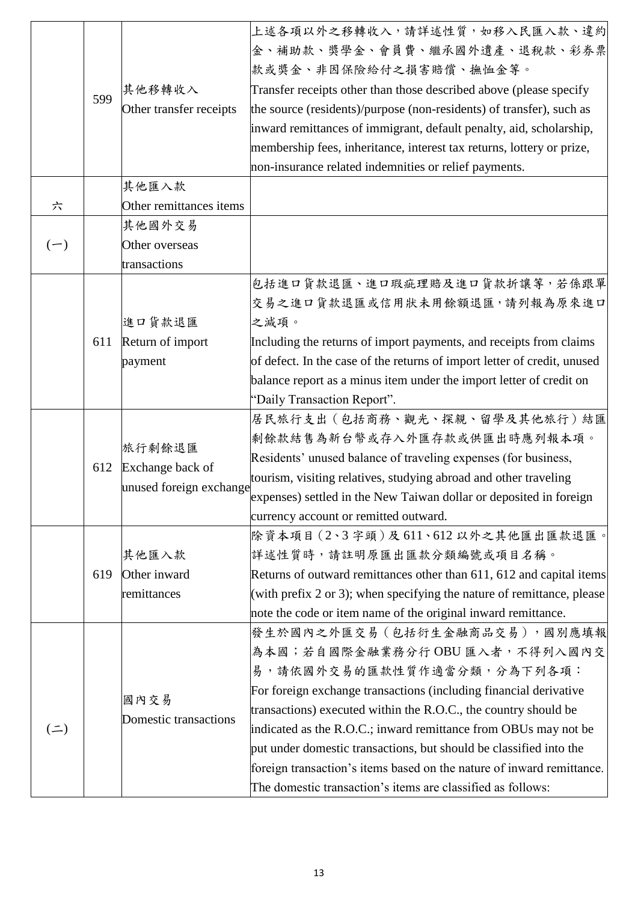|           | 599 | 其他移轉收入                        | 上述各項以外之移轉收入,請詳述性質,如移入民匯入款、違約<br>金、補助款、獎學金、會員費、繼承國外遺產、退稅款、彩券票<br>款或獎金、非因保險給付之損害賠償、撫恤金等。<br>Transfer receipts other than those described above (please specify                                                                                                                  |
|-----------|-----|-------------------------------|-------------------------------------------------------------------------------------------------------------------------------------------------------------------------------------------------------------------------------------------------------------------------------|
|           |     | Other transfer receipts       | the source (residents)/purpose (non-residents) of transfer), such as<br>inward remittances of immigrant, default penalty, aid, scholarship,<br>membership fees, inheritance, interest tax returns, lottery or prize,<br>non-insurance related indemnities or relief payments. |
|           |     | 其他匯入款                         |                                                                                                                                                                                                                                                                               |
| 六         |     | Other remittances items       |                                                                                                                                                                                                                                                                               |
|           |     | 其他國外交易                        |                                                                                                                                                                                                                                                                               |
| $(-)$     |     | Other overseas                |                                                                                                                                                                                                                                                                               |
|           |     | transactions                  |                                                                                                                                                                                                                                                                               |
|           |     |                               | 包括進口貨款退匯、進口瑕疵理賠及進口貨款折讓等,若係跟單                                                                                                                                                                                                                                                  |
|           |     |                               | 交易之進口貨款退匯或信用狀未用餘額退匯,請列報為原來進口                                                                                                                                                                                                                                                  |
|           |     | 進口貨款退匯                        | 之減項。                                                                                                                                                                                                                                                                          |
|           | 611 | Return of import              | Including the returns of import payments, and receipts from claims                                                                                                                                                                                                            |
|           |     | payment                       | of defect. In the case of the returns of import letter of credit, unused                                                                                                                                                                                                      |
|           |     |                               | balance report as a minus item under the import letter of credit on                                                                                                                                                                                                           |
|           |     |                               | "Daily Transaction Report".                                                                                                                                                                                                                                                   |
|           |     |                               | 居民旅行支出 (包括商務、觀光、探親、留學及其他旅行)結匯                                                                                                                                                                                                                                                 |
|           |     | 旅行剩餘退匯<br>Exchange back of    | 剩餘款結售為新台幣或存入外匯存款或供匯出時應列報本項。                                                                                                                                                                                                                                                   |
|           | 612 |                               | Residents' unused balance of traveling expenses (for business,                                                                                                                                                                                                                |
|           |     | unused foreign exchange       | tourism, visiting relatives, studying abroad and other traveling                                                                                                                                                                                                              |
|           |     |                               | expenses) settled in the New Taiwan dollar or deposited in foreign                                                                                                                                                                                                            |
|           |     |                               | currency account or remitted outward.                                                                                                                                                                                                                                         |
|           |     |                               | 除資本項目 (2、3字頭)及611、612以外之其他匯出匯款退匯。                                                                                                                                                                                                                                             |
|           |     | 其他匯入款                         | 詳述性質時,請註明原匯出匯款分類編號或項目名稱。                                                                                                                                                                                                                                                      |
|           | 619 | Other inward                  | Returns of outward remittances other than 611, 612 and capital items                                                                                                                                                                                                          |
|           |     | remittances                   | (with prefix 2 or 3); when specifying the nature of remittance, please                                                                                                                                                                                                        |
|           |     |                               | note the code or item name of the original inward remittance.                                                                                                                                                                                                                 |
|           |     |                               | 發生於國內之外匯交易 (包括衍生金融商品交易),國別應填報                                                                                                                                                                                                                                                 |
|           |     | 國內交易<br>Domestic transactions | 為本國;若自國際金融業務分行OBU 匯入者,不得列入國內交                                                                                                                                                                                                                                                 |
|           |     |                               | 易,請依國外交易的匯款性質作適當分類,分為下列各項:                                                                                                                                                                                                                                                    |
|           |     |                               | For foreign exchange transactions (including financial derivative<br>transactions) executed within the R.O.C., the country should be                                                                                                                                          |
| $($ = $)$ |     |                               | indicated as the R.O.C.; inward remittance from OBUs may not be                                                                                                                                                                                                               |
|           |     |                               | put under domestic transactions, but should be classified into the                                                                                                                                                                                                            |
|           |     |                               | foreign transaction's items based on the nature of inward remittance.                                                                                                                                                                                                         |
|           |     |                               | The domestic transaction's items are classified as follows:                                                                                                                                                                                                                   |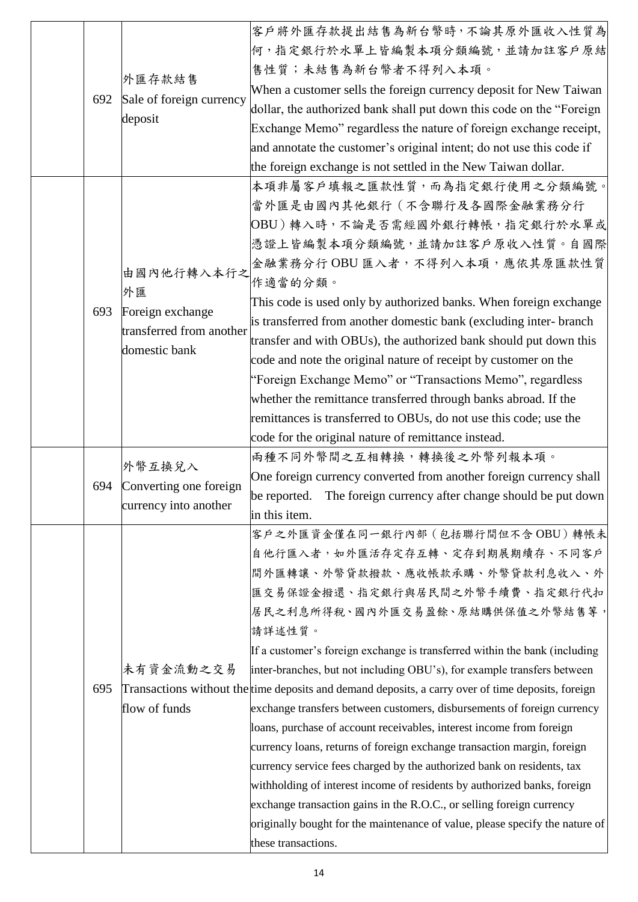|  |     |                                                                      | 客户將外匯存款提出結售為新台幣時,不論其原外匯收入性質為                                                                       |
|--|-----|----------------------------------------------------------------------|----------------------------------------------------------------------------------------------------|
|  | 692 | 外匯存款結售                                                               | 何,指定銀行於水單上皆編製本項分類編號,並請加註客戶原結                                                                       |
|  |     |                                                                      | 售性質;未結售為新台幣者不得列入本項。                                                                                |
|  |     | Sale of foreign currency                                             | When a customer sells the foreign currency deposit for New Taiwan                                  |
|  |     |                                                                      | dollar, the authorized bank shall put down this code on the "Foreign                               |
|  |     | deposit                                                              | Exchange Memo" regardless the nature of foreign exchange receipt,                                  |
|  |     | and annotate the customer's original intent; do not use this code if |                                                                                                    |
|  |     |                                                                      | the foreign exchange is not settled in the New Taiwan dollar.                                      |
|  |     |                                                                      | 本項非屬客戶填報之匯款性質,而為指定銀行使用之分類編號。                                                                       |
|  |     |                                                                      | 當外匯是由國內其他銀行(不含聯行及各國際金融業務分行                                                                         |
|  |     |                                                                      | OBU)轉入時,不論是否需經國外銀行轉帳,指定銀行於水單或                                                                      |
|  |     |                                                                      | 憑證上皆編製本項分類編號,並請加註客戶原收入性質。自國際                                                                       |
|  |     |                                                                      | 金融業務分行OBU 匯入者,不得列入本項,應依其原匯款性質                                                                      |
|  |     | 由國內他行轉入本行之<br>外匯                                                     | 作適當的分類。                                                                                            |
|  | 693 | Foreign exchange                                                     | This code is used only by authorized banks. When foreign exchange                                  |
|  |     | transferred from another                                             | is transferred from another domestic bank (excluding inter- branch                                 |
|  |     | domestic bank                                                        | transfer and with OBUs), the authorized bank should put down this                                  |
|  |     |                                                                      | code and note the original nature of receipt by customer on the                                    |
|  |     |                                                                      | 'Foreign Exchange Memo" or "Transactions Memo", regardless                                         |
|  |     |                                                                      | whether the remittance transferred through banks abroad. If the                                    |
|  |     |                                                                      | remittances is transferred to OBUs, do not use this code; use the                                  |
|  |     |                                                                      | code for the original nature of remittance instead.                                                |
|  |     | 外幣互換兌入<br>Converting one foreign<br>currency into another            | 兩種不同外幣間之互相轉換,轉換後之外幣列報本項。                                                                           |
|  | 694 |                                                                      | One foreign currency converted from another foreign currency shall                                 |
|  |     |                                                                      | be reported. The foreign currency after change should be put down                                  |
|  |     |                                                                      | in this item.                                                                                      |
|  |     | 未有資金流動之交易                                                            | 客户之外匯資金僅在同一銀行內部(包括聯行間但不含OBU)轉帳未                                                                    |
|  |     |                                                                      | 自他行匯入者,如外匯活存定存互轉、定存到期展期續存、不同客戶                                                                     |
|  |     |                                                                      | 間外匯轉讓、外幣貸款撥款、應收帳款承購、外幣貸款利息收入、外                                                                     |
|  |     |                                                                      | 匯交易保證金撥還、指定銀行與居民間之外幣手續費、指定銀行代扣                                                                     |
|  |     |                                                                      | 居民之利息所得稅、國內外匯交易盈餘、原結購供保值之外幣結售等,                                                                    |
|  |     |                                                                      | 請詳述性質。                                                                                             |
|  |     |                                                                      | If a customer's foreign exchange is transferred within the bank (including                         |
|  | 695 |                                                                      | inter-branches, but not including OBU's), for example transfers between                            |
|  |     |                                                                      | Transactions without the time deposits and demand deposits, a carry over of time deposits, foreign |
|  |     | flow of funds                                                        | exchange transfers between customers, disbursements of foreign currency                            |
|  |     |                                                                      | loans, purchase of account receivables, interest income from foreign                               |
|  |     |                                                                      | currency loans, returns of foreign exchange transaction margin, foreign                            |
|  |     |                                                                      | currency service fees charged by the authorized bank on residents, tax                             |
|  |     |                                                                      | withholding of interest income of residents by authorized banks, foreign                           |
|  |     |                                                                      | exchange transaction gains in the R.O.C., or selling foreign currency                              |
|  |     |                                                                      | originally bought for the maintenance of value, please specify the nature of                       |
|  |     |                                                                      | these transactions.                                                                                |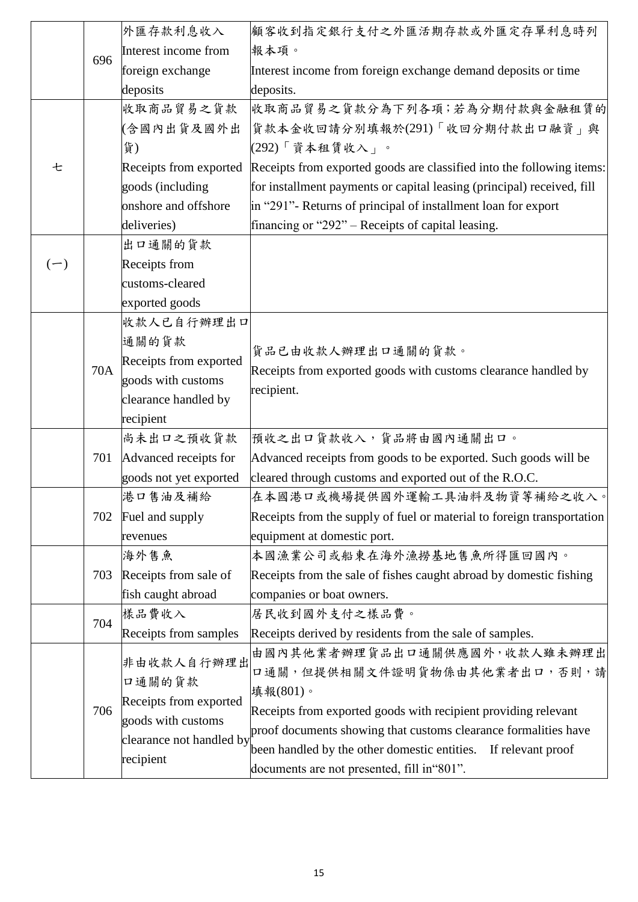|       | 696 | 外匯存款利息收入                 | 顧客收到指定銀行支付之外匯活期存款或外匯定存單利息時列                                            |
|-------|-----|--------------------------|------------------------------------------------------------------------|
|       |     | Interest income from     | 報本項。                                                                   |
|       |     | foreign exchange         | Interest income from foreign exchange demand deposits or time          |
|       |     | deposits                 | deposits.                                                              |
|       |     | 收取商品貿易之貨款                | 收取商品貿易之貨款分為下列各項;若為分期付款與金融租賃的                                           |
|       |     | (含國內出貨及國外出               | 貨款本金收回請分別填報於(291)「收回分期付款出口融資」與                                         |
|       |     | 貨)                       | (292)「資本租賃收入」。                                                         |
| 七     |     | Receipts from exported   | Receipts from exported goods are classified into the following items:  |
|       |     | goods (including         | for installment payments or capital leasing (principal) received, fill |
|       |     | onshore and offshore     | in "291"- Returns of principal of installment loan for export          |
|       |     | deliveries)              | financing or "292" – Receipts of capital leasing.                      |
|       |     | 出口通關的貨款                  |                                                                        |
| $(-)$ |     | Receipts from            |                                                                        |
|       |     | customs-cleared          |                                                                        |
|       |     | exported goods           |                                                                        |
|       |     | 收款人已自行辦理出口               |                                                                        |
|       |     | 通關的貨款                    | 貨品已由收款人辦理出口通關的貨款。                                                      |
|       |     | Receipts from exported   |                                                                        |
|       | 70A | goods with customs       | Receipts from exported goods with customs clearance handled by         |
|       |     | clearance handled by     | recipient.                                                             |
|       |     | recipient                |                                                                        |
|       |     | 尚未出口之預收貨款                | 預收之出口貨款收入,貨品將由國內通關出口。                                                  |
|       | 701 | Advanced receipts for    | Advanced receipts from goods to be exported. Such goods will be        |
|       |     | goods not yet exported   | cleared through customs and exported out of the R.O.C.                 |
|       |     | 港口售油及補給                  | 在本國港口或機場提供國外運輸工具油料及物資等補給之收入。                                           |
|       | 702 | Fuel and supply          | Receipts from the supply of fuel or material to foreign transportation |
|       |     | revenues                 | equipment at domestic port.                                            |
|       |     | 海外售魚                     | 本國漁業公司或船東在海外漁撈基地售魚所得匯回國內。                                              |
|       | 703 | Receipts from sale of    | Receipts from the sale of fishes caught abroad by domestic fishing     |
|       |     | fish caught abroad       | companies or boat owners.                                              |
|       | 704 | 樣品費收入                    | 居民收到國外支付之樣品費。                                                          |
|       |     | Receipts from samples    | Receipts derived by residents from the sale of samples.                |
|       |     | 非由收款人自行辦理出               | 由國內其他業者辦理貨品出口通關供應國外,收款人雖未辦理出                                           |
|       |     | 口通關的貨款                   | 口通關,但提供相關文件證明貨物係由其他業者出口,否則,請                                           |
|       |     | Receipts from exported   | 填報(801)。                                                               |
|       | 706 | goods with customs       | Receipts from exported goods with recipient providing relevant         |
|       |     | clearance not handled by | proof documents showing that customs clearance formalities have        |
|       |     | recipient                | been handled by the other domestic entities. If relevant proof         |
|       |     |                          | documents are not presented, fill in "801".                            |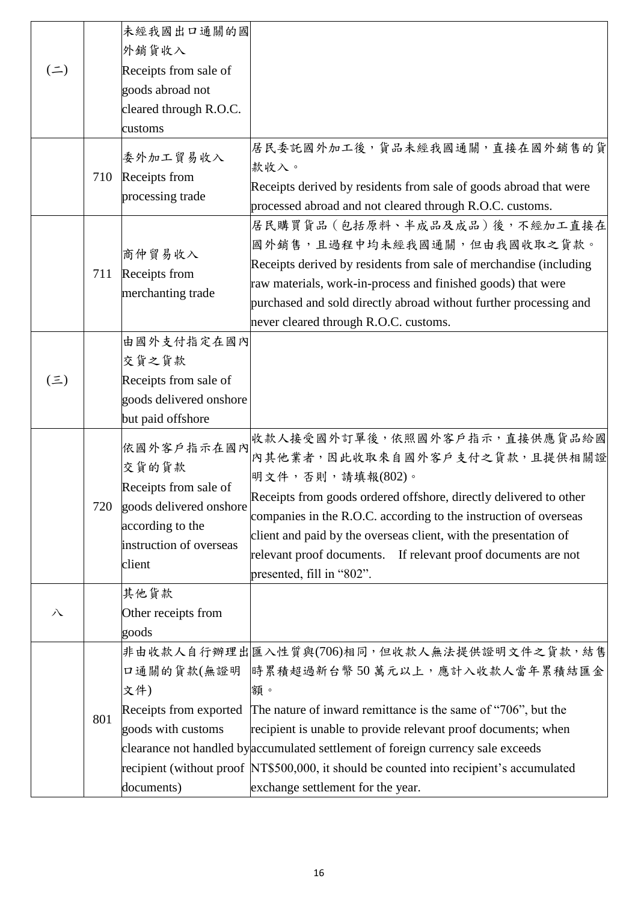| $($ $\equiv$ $)$ |     | 未經我國出口通關的國<br>外銷貨收入<br>Receipts from sale of<br>goods abroad not<br>cleared through R.O.C.                                       |                                                                                                                                                                                                                                                                                                                                                                                                                                                   |
|------------------|-----|----------------------------------------------------------------------------------------------------------------------------------|---------------------------------------------------------------------------------------------------------------------------------------------------------------------------------------------------------------------------------------------------------------------------------------------------------------------------------------------------------------------------------------------------------------------------------------------------|
|                  |     | customs                                                                                                                          |                                                                                                                                                                                                                                                                                                                                                                                                                                                   |
|                  | 710 | 委外加工貿易收入<br>Receipts from<br>processing trade                                                                                    | 居民委託國外加工後,貨品未經我國通關,直接在國外銷售的貨<br>款收入。<br>Receipts derived by residents from sale of goods abroad that were<br>processed abroad and not cleared through R.O.C. customs.                                                                                                                                                                                                                                                                             |
|                  | 711 | 商仲貿易收入<br>Receipts from<br>merchanting trade                                                                                     | 居民購買貨品 (包括原料、半成品及成品) 後, 不經加工直接在<br>國外銷售,且過程中均未經我國通關,但由我國收取之貨款。<br>Receipts derived by residents from sale of merchandise (including<br>raw materials, work-in-process and finished goods) that were<br>purchased and sold directly abroad without further processing and<br>never cleared through R.O.C. customs.                                                                                                                                 |
| $(\Xi)$          |     | 由國外支付指定在國內<br>交貨之貨款<br>Receipts from sale of<br>goods delivered onshore<br>but paid offshore                                     |                                                                                                                                                                                                                                                                                                                                                                                                                                                   |
|                  | 720 | 依國外客戶指示在國內<br>交貨的貨款<br>Receipts from sale of<br>goods delivered onshore<br>according to the<br>instruction of overseas<br>client | 收款人接受國外訂單後,依照國外客戶指示,直接供應貨品給國<br>內其他業者,因此收取來自國外客戶支付之貨款,且提供相關證<br>明文件,否則,請填報(802)。<br>Receipts from goods ordered offshore, directly delivered to other<br>companies in the R.O.C. according to the instruction of overseas<br>client and paid by the overseas client, with the presentation of<br>relevant proof documents. If relevant proof documents are not<br>presented, fill in "802".                                                       |
| 八                |     | 其他貨款<br>Other receipts from<br>goods                                                                                             |                                                                                                                                                                                                                                                                                                                                                                                                                                                   |
|                  | 801 | 文件)<br>Receipts from exported<br>goods with customs<br>documents)                                                                | 非由收款人自行辦理出歷入性質與(706)相同,但收款人無法提供證明文件之貨款,結售<br>口通關的貨款(無證明  時累積超過新台幣50萬元以上,應計入收款人當年累積結匯金<br>額。<br>The nature of inward remittance is the same of "706", but the<br>recipient is unable to provide relevant proof documents; when<br>clearance not handled by accumulated settlement of foreign currency sale exceeds<br>recipient (without proof NT\$500,000, it should be counted into recipient's accumulated<br>exchange settlement for the year. |